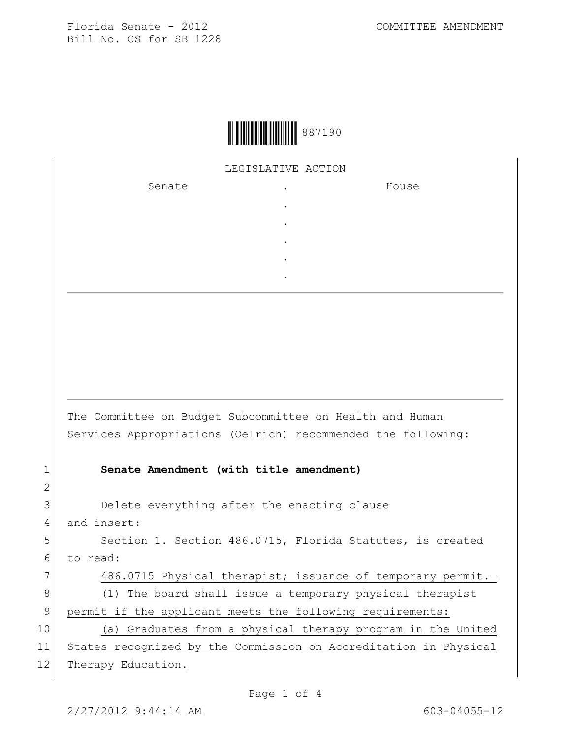

## LEGISLATIVE ACTION

. . . . .

Senate .

House

The Committee on Budget Subcommittee on Health and Human Services Appropriations (Oelrich) recommended the following:

## 1 **Senate Amendment (with title amendment)**

3 Delete everything after the enacting clause

4 and insert:

5 Section 1. Section 486.0715, Florida Statutes, is created 6 to read:

7 486.0715 Physical therapist; issuance of temporary permit. 8 (1) The board shall issue a temporary physical therapist

9 permit if the applicant meets the following requirements: 10 (a) Graduates from a physical therapy program in the United

11 States recognized by the Commission on Accreditation in Physical 12 Therapy Education.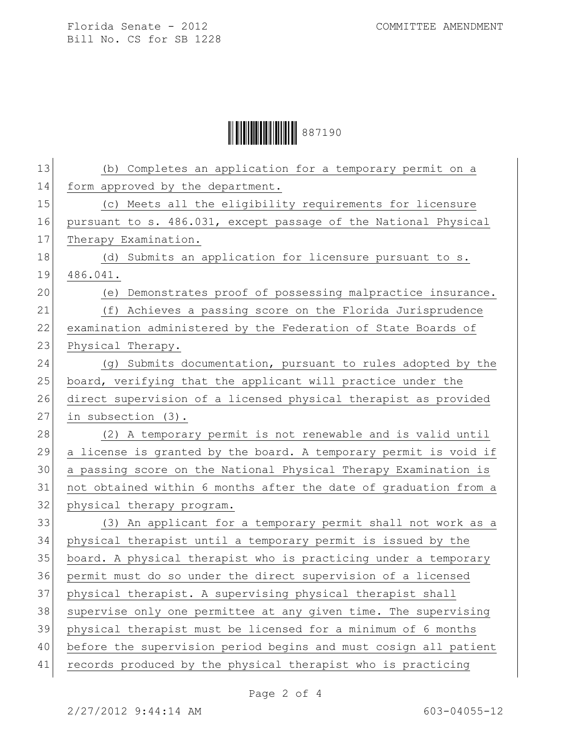**ÖYEBEN 19887190** 

| 13 | (b) Completes an application for a temporary permit on a         |  |  |
|----|------------------------------------------------------------------|--|--|
| 14 | form approved by the department.                                 |  |  |
| 15 | (c) Meets all the eligibility requirements for licensure         |  |  |
| 16 | pursuant to s. 486.031, except passage of the National Physical  |  |  |
| 17 | Therapy Examination.                                             |  |  |
| 18 | (d) Submits an application for licensure pursuant to s.          |  |  |
| 19 | 486.041.                                                         |  |  |
| 20 | (e) Demonstrates proof of possessing malpractice insurance.      |  |  |
| 21 | (f) Achieves a passing score on the Florida Jurisprudence        |  |  |
| 22 | examination administered by the Federation of State Boards of    |  |  |
| 23 | Physical Therapy.                                                |  |  |
| 24 | (g) Submits documentation, pursuant to rules adopted by the      |  |  |
| 25 | board, verifying that the applicant will practice under the      |  |  |
| 26 | direct supervision of a licensed physical therapist as provided  |  |  |
| 27 | in subsection (3).                                               |  |  |
| 28 | (2) A temporary permit is not renewable and is valid until       |  |  |
| 29 | a license is granted by the board. A temporary permit is void if |  |  |
| 30 | a passing score on the National Physical Therapy Examination is  |  |  |
| 31 | not obtained within 6 months after the date of graduation from a |  |  |
| 32 | physical therapy program.                                        |  |  |
| 33 | (3) An applicant for a temporary permit shall not work as a      |  |  |
| 34 | physical therapist until a temporary permit is issued by the     |  |  |
| 35 | board. A physical therapist who is practicing under a temporary  |  |  |
| 36 | permit must do so under the direct supervision of a licensed     |  |  |
| 37 | physical therapist. A supervising physical therapist shall       |  |  |
| 38 | supervise only one permittee at any given time. The supervising  |  |  |
| 39 | physical therapist must be licensed for a minimum of 6 months    |  |  |
| 40 | before the supervision period begins and must cosign all patient |  |  |
| 41 | records produced by the physical therapist who is practicing     |  |  |
|    |                                                                  |  |  |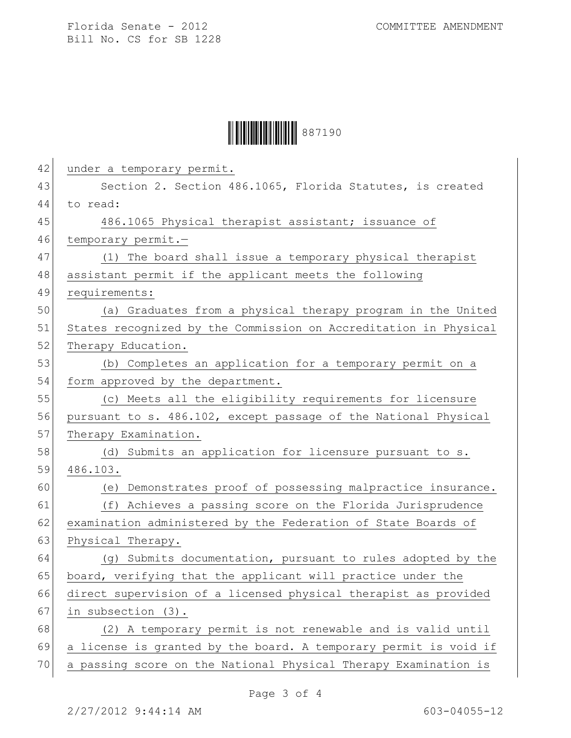## **ÖYEBEN 19887190**

| 42 | under a temporary permit.                                        |
|----|------------------------------------------------------------------|
| 43 | Section 2. Section 486.1065, Florida Statutes, is created        |
| 44 | to read:                                                         |
| 45 | 486.1065 Physical therapist assistant; issuance of               |
| 46 | temporary permit.-                                               |
| 47 | (1) The board shall issue a temporary physical therapist         |
| 48 | assistant permit if the applicant meets the following            |
| 49 | requirements:                                                    |
| 50 | (a) Graduates from a physical therapy program in the United      |
| 51 | States recognized by the Commission on Accreditation in Physical |
| 52 | Therapy Education.                                               |
| 53 | (b) Completes an application for a temporary permit on a         |
| 54 | form approved by the department.                                 |
| 55 | (c) Meets all the eligibility requirements for licensure         |
| 56 | pursuant to s. 486.102, except passage of the National Physical  |
| 57 | Therapy Examination.                                             |
| 58 | (d) Submits an application for licensure pursuant to s.          |
| 59 | 486.103.                                                         |
| 60 | (e) Demonstrates proof of possessing malpractice insurance.      |
| 61 | (f) Achieves a passing score on the Florida Jurisprudence        |
| 62 | examination administered by the Federation of State Boards of    |
| 63 | Physical Therapy.                                                |
| 64 | (g) Submits documentation, pursuant to rules adopted by the      |
| 65 | board, verifying that the applicant will practice under the      |
| 66 | direct supervision of a licensed physical therapist as provided  |
| 67 | in subsection (3).                                               |
| 68 | (2) A temporary permit is not renewable and is valid until       |
| 69 | a license is granted by the board. A temporary permit is void if |
| 70 | a passing score on the National Physical Therapy Examination is  |
|    |                                                                  |